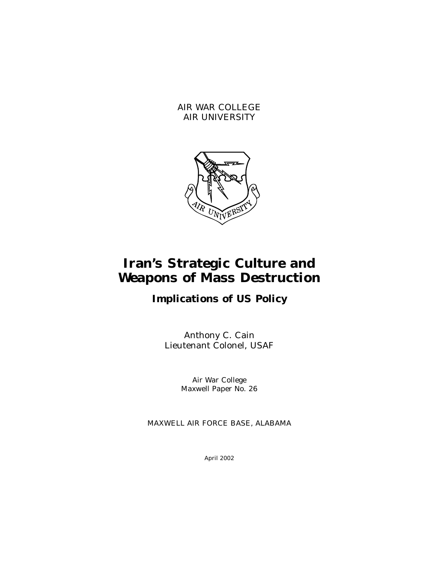AIR WAR COLLEGE AIR UNIVERSITY



# **Iran's Strategic Culture and Weapons of Mass Destruction**

# **Implications of US Policy**

Anthony C. Cain Lieutenant Colonel, USAF

> Air War College Maxwell Paper No. 26

MAXWELL AIR FORCE BASE, ALABAMA

April 2002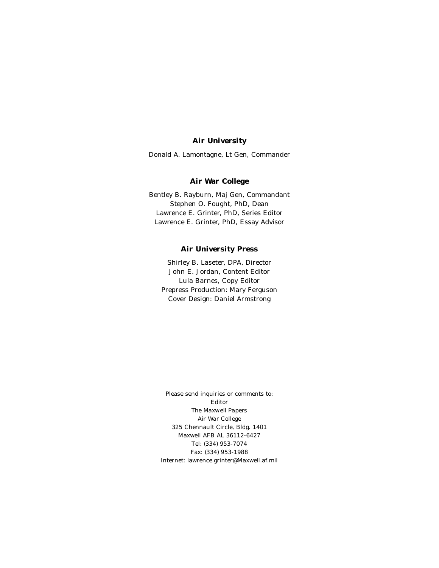### **Air University**

Donald A. Lamontagne, Lt Gen, Commander

#### **Air War College**

Bentley B. Rayburn, Maj Gen, Commandant Stephen O. Fought, PhD, Dean Lawrence E. Grinter, PhD, Series Editor Lawrence E. Grinter, PhD, Essay Advisor

#### **Air University Press**

Shirley B. Laseter, DPA, Director John E. Jordan, Content Editor Lula Barnes, Copy Editor Prepress Production: Mary Ferguson Cover Design: Daniel Armstrong

Please send inquiries or comments to: Editor *The Maxwell Papers*  Air War College 325 Chennault Circle, Bldg. 1401 Maxwell AFB AL 36112-6427 Tel: (334) 953-7074 Fax: (334) 953-1988 Internet: lawrence.grinter@Maxwell.af.mil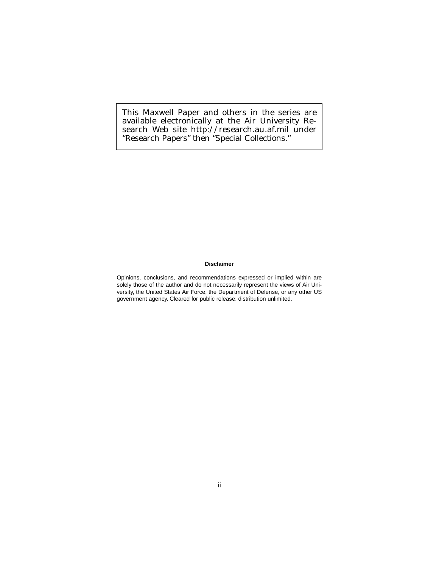This Maxwell Paper and others in the series are available electronically at the Air University Research Web site http://research.au.af.mil under "Research Papers" then "Special Collections."

#### **Disclaimer**

Opinions, conclusions, and recommendations expressed or implied within are solely those of the author and do not necessarily represent the views of Air University, the United States Air Force, the Department of Defense, or any other US government agency. Cleared for public release: distribution unlimited.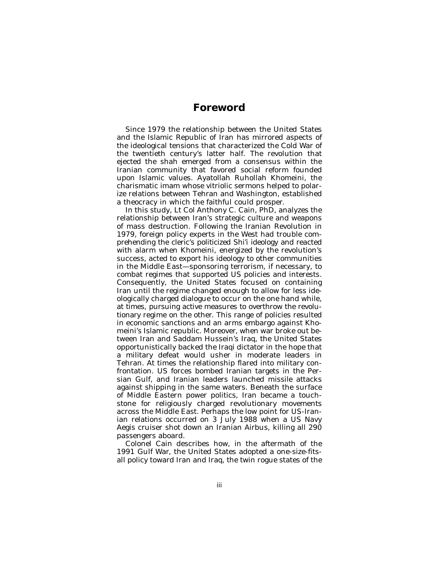### *Foreword*

Since 1979 the relationship between the United States and the Islamic Republic of Iran has mirrored aspects of the ideological tensions that characterized the Cold War of the twentieth century's latter half. The revolution that ejected the shah emerged from a consensus within the Iranian community that favored social reform founded upon Islamic values. Ayatollah Ruhollah Khomeini, the charismatic imam whose vitriolic sermons helped to polarize relations between Tehran and Washington, established a theocracy in which the faithful could prosper.

In this study, Lt Col Anthony C. Cain, PhD, analyzes the relationship between Iran's strategic culture and weapons of mass destruction. Following the Iranian Revolution in 1979, foreign policy experts in the West had trouble comprehending the cleric's politicized Shi'i ideology and reacted with alarm when Khomeini, energized by the revolution's success, acted to export his ideology to other communities in the Middle East—sponsoring terrorism, if necessary, to combat regimes that supported US policies and interests. Consequently, the United States focused on containing Iran until the regime changed enough to allow for less ideologically charged dialogue to occur on the one hand while, at times, pursuing active measures to overthrow the revolutionary regime on the other. This range of policies resulted in economic sanctions and an arms embargo against Khomeini's Islamic republic. Moreover, when war broke out between Iran and Saddam Hussein's Iraq, the United States opportunistically backed the Iraqi dictator in the hope that a military defeat would usher in moderate leaders in Tehran. At times the relationship flared into military confrontation. US forces bombed Iranian targets in the Persian Gulf, and Iranian leaders launched missile attacks against shipping in the same waters. Beneath the surface of Middle Eastern power politics, Iran became a touchstone for religiously charged revolutionary movements across the Middle East. Perhaps the low point for US-Iranian relations occurred on 3 July 1988 when a US Navy Aegis cruiser shot down an Iranian Airbus, killing all 290 passengers aboard.

Colonel Cain describes how, in the aftermath of the 1991 Gulf War, the United States adopted a one-size-fitsall policy toward Iran and Iraq, the twin rogue states of the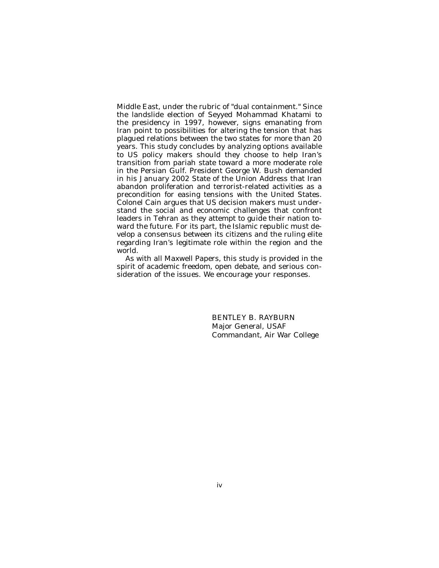Middle East, under the rubric of "dual containment." Since the landslide election of Seyyed Mohammad Khatami to the presidency in 1997, however, signs emanating from Iran point to possibilities for altering the tension that has plagued relations between the two states for more than 20 years. This study concludes by analyzing options available to US policy makers should they choose to help Iran's transition from pariah state toward a more moderate role in the Persian Gulf. President George W. Bush demanded in his January 2002 State of the Union Address that Iran abandon proliferation and terrorist-related activities as a precondition for easing tensions with the United States. Colonel Cain argues that US decision makers must understand the social and economic challenges that confront leaders in Tehran as they attempt to guide their nation toward the future. For its part, the Islamic republic must develop a consensus between its citizens and the ruling elite regarding Iran's legitimate role within the region and the world.

As with all Maxwell Papers, this study is provided in the spirit of academic freedom, open debate, and serious consideration of the issues. We encourage your responses.

> BENTLEY B. RAYBURN Major General, USAF Commandant, Air War College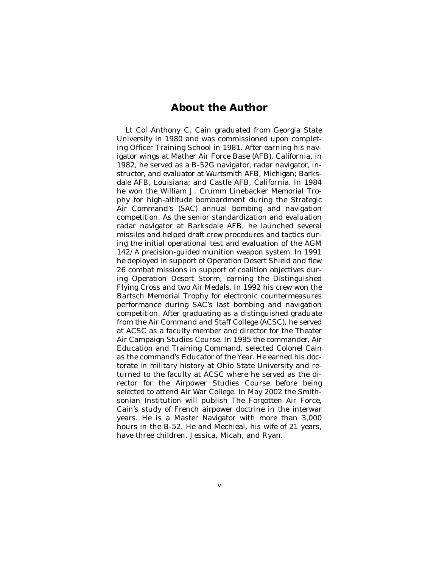### *About the Author*

Lt Col Anthony C. Cain graduated from Georgia State University in 1980 and was commissioned upon completing Officer Training School in 1981. After earning his navigator wings at Mather Air Force Base (AFB), California, in 1982, he served as a B-52G navigator, radar navigator, instructor, and evaluator at Wurtsmith AFB, Michigan; Barksdale AFB, Louisiana; and Castle AFB, California. In 1984 he won the William J. Crumm Linebacker Memorial Trophy for high-altitude bombardment during the Strategic Air Command's (SAC) annual bombing and navigation competition. As the senior standardization and evaluation radar navigator at Barksdale AFB, he launched several missiles and helped draft crew procedures and tactics during the initial operational test and evaluation of the AGM 142/A precision-guided munition weapon system. In 1991 he deployed in support of Operation Desert Shield and flew 26 combat missions in support of coalition objectives during Operation Desert Storm, earning the Distinguished Flying Cross and two Air Medals. In 1992 his crew won the Bartsch Memorial Trophy for electronic countermeasures performance during SAC's last bombing and navigation competition. After graduating as a distinguished graduate from the Air Command and Staff College (ACSC), he served at ACSC as a faculty member and director for the Theater Air Campaign Studies Course. In 1995 the commander, Air Education and Training Command, selected Colonel Cain as the command's Educator of the Year. He earned his doctorate in military history at Ohio State University and returned to the faculty at ACSC where he served as the director for the Airpower Studies Course before being selected to attend Air War College. In May 2002 the Smithsonian Institution will publish The Forgotten Air Force, Cain's study of French airpower doctrine in the interwar years. He is a Master Navigator with more than 3,000 hours in the B-52. He and Mechieal, his wife of 21 years, have three children, Jessica, Micah, and Ryan.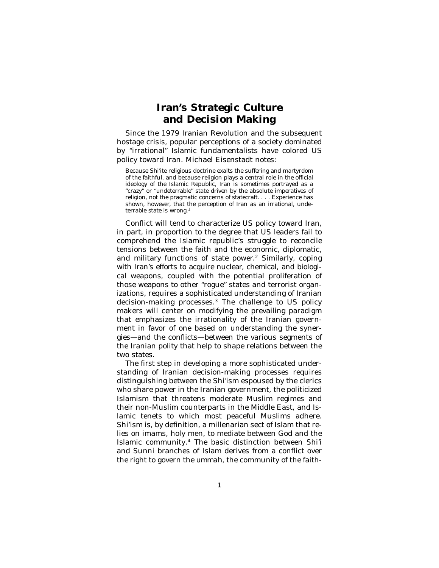### **Iran's Strategic Culture and Decision Making**

Since the 1979 Iranian Revolution and the subsequent hostage crisis, popular perceptions of a society dominated by "irrational" Islamic fundamentalists have colored US policy toward Iran. Michael Eisenstadt notes:

Because Shi'ite religious doctrine exalts the suffering and martyrdom of the faithful, and because religion plays a central role in the official ideology of the Islamic Republic, Iran is sometimes portrayed as a "crazy" or "undeterrable" state driven by the absolute imperatives of religion, not the pragmatic concerns of statecraft. . . . Experience has shown, however, that the perception of Iran as an irrational, undeterrable state is wrong.<sup>1</sup>

Conflict will tend to characterize US policy toward Iran, in part, in proportion to the degree that US leaders fail to comprehend the Islamic republic's struggle to reconcile tensions between the faith and the economic, diplomatic, and military functions of state power. 2 Similarly, coping with Iran's efforts to acquire nuclear, chemical, and biological weapons, coupled with the potential proliferation of those weapons to other "rogue" states and terrorist organizations, requires a sophisticated understanding of Iranian decision-making processes.3 The challenge to US policy makers will center on modifying the prevailing paradigm that emphasizes the irrationality of the Iranian government in favor of one based on understanding the synergies—and the conflicts—between the various segments of the Iranian polity that help to shape relations between the two states.

The first step in developing a more sophisticated understanding of Iranian decision-making processes requires distinguishing between the Shi'ism espoused by the clerics who share power in the Iranian government, the politicized Islamism that threatens moderate Muslim regimes and their non-Muslim counterparts in the Middle East, and Islamic tenets to which most peaceful Muslims adhere. Shi'ism is, by definition, a millenarian sect of Islam that relies on imams, holy men, to mediate between God and the Islamic community.4 The basic distinction between Shi'i and Sunni branches of Islam derives from a conflict over the right to govern the *ummah,* the community of the faith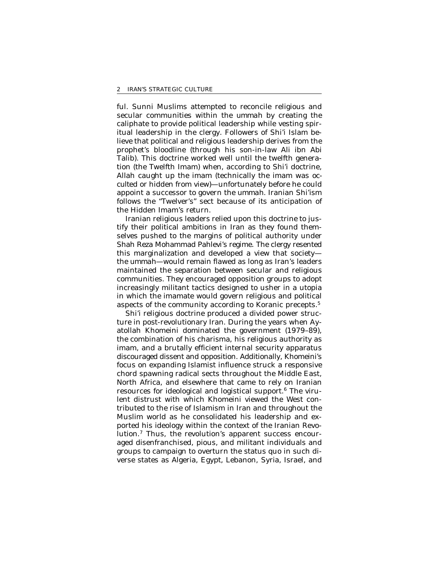ful. Sunni Muslims attempted to reconcile religious and secular communities within the *ummah* by creating the caliphate to provide political leadership while vesting spiritual leadership in the clergy. Followers of Shi'i Islam believe that political and religious leadership derives from the prophet's bloodline (through his son-in-law Ali ibn Abi Talib). This doctrine worked well until the twelfth generation (the Twelfth Imam) when, according to Shi'i doctrine, Allah caught up the imam (technically the imam was *occulted* or hidden from view)—unfortunately before he could appoint a successor to govern the *ummah.* Iranian Shi'ism follows the "Twelver's" sect because of its anticipation of the Hidden Imam's return.

Iranian religious leaders relied upon this doctrine to justify their political ambitions in Iran as they found themselves pushed to the margins of political authority under Shah Reza Mohammad Pahlevi's regime. The clergy resented this marginalization and developed a view that society the *ummah—*would remain flawed as long as Iran's leaders maintained the separation between secular and religious communities. They encouraged opposition groups to adopt increasingly militant tactics designed to usher in a utopia in which the imamate would govern religious and political aspects of the community according to Koranic precepts.5

Shi'i religious doctrine produced a divided power structure in post-revolutionary Iran. During the years when Ayatollah Khomeini dominated the government (1979–89), the combination of his charisma, his religious authority as imam, and a brutally efficient internal security apparatus discouraged dissent and opposition. Additionally, Khomeini's focus on expanding Islamist influence struck a responsive chord spawning radical sects throughout the Middle East, North Africa, and elsewhere that came to rely on Iranian resources for ideological and logistical support.<sup>6</sup> The virulent distrust with which Khomeini viewed the West contributed to the rise of Islamism in Iran and throughout the Muslim world as he consolidated his leadership and exported his ideology within the context of the Iranian Revolution.7 Thus, the revolution's apparent success encouraged disenfranchised, pious, and militant individuals and groups to campaign to overturn the status quo in such diverse states as Algeria, Egypt, Lebanon, Syria, Israel, and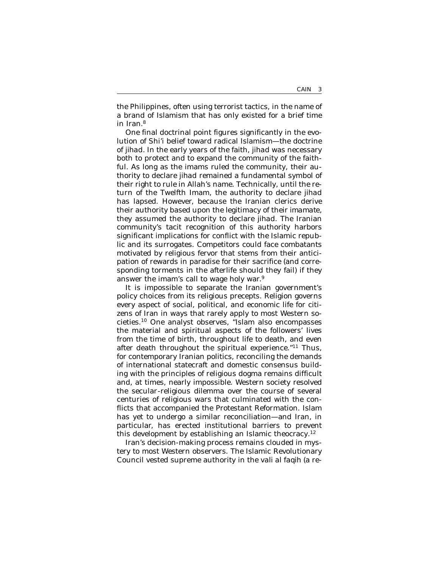the Philippines, often using terrorist tactics, in the name of a brand of Islamism that has only existed for a brief time in Iran.8

One final doctrinal point figures significantly in the evolution of Shi'i belief toward radical Islamism—the doctrine of *jihad.* In the early years of the faith, *jihad* was necessary both to protect and to expand the community of the faithful. As long as the imams ruled the community, their authority to declare *jihad* remained a fundamental symbol of their right to rule in Allah's name. Technically, until the return of the Twelfth Imam, the authority to declare *jihad*  has lapsed. However, because the Iranian clerics derive their authority based upon the legitimacy of their *imamate,*  they assumed the authority to declare *jihad.* The Iranian community's tacit recognition of this authority harbors significant implications for conflict with the Islamic republic and its surrogates. Competitors could face combatants motivated by religious fervor that stems from their anticipation of rewards in paradise for their sacrifice (and corresponding torments in the afterlife should they fail) if they answer the imam's call to wage holy war. 9

It is impossible to separate the Iranian government's policy choices from its religious precepts. Religion governs every aspect of social, political, and economic life for citizens of Iran in ways that rarely apply to most Western societies.10 One analyst observes, "Islam also encompasses the material and spiritual aspects of the followers' lives from the time of birth, throughout life to death, and even after death throughout the spiritual experience."11 Thus, for contemporary Iranian politics, reconciling the demands of international statecraft and domestic consensus building with the principles of religious dogma remains difficult and, at times, nearly impossible. Western society resolved the secular-religious dilemma over the course of several centuries of religious wars that culminated with the conflicts that accompanied the Protestant Reformation. Islam has yet to undergo a similar reconciliation—and Iran, in particular, has erected institutional barriers to prevent this development by establishing an Islamic theocracy.12

Iran's decision-making process remains clouded in mystery to most Western observers. The Islamic Revolutionary Council vested supreme authority in the *vali al faqih* (a re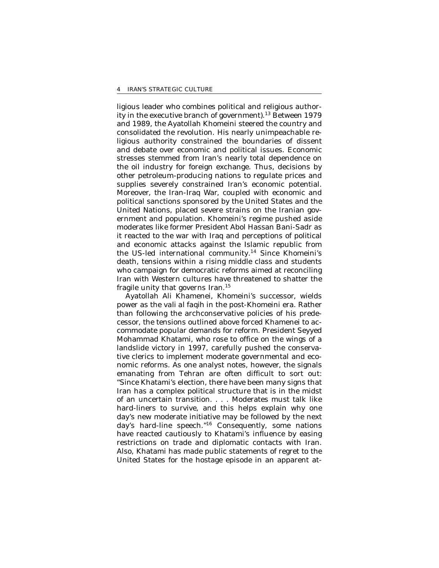ligious leader who combines political and religious authority in the executive branch of government).13 Between 1979 and 1989, the Ayatollah Khomeini steered the country and consolidated the revolution. His nearly unimpeachable religious authority constrained the boundaries of dissent and debate over economic and political issues. Economic stresses stemmed from Iran's nearly total dependence on the oil industry for foreign exchange. Thus, decisions by other petroleum-producing nations to regulate prices and supplies severely constrained Iran's economic potential. Moreover, the Iran-Iraq War, coupled with economic and political sanctions sponsored by the United States and the United Nations, placed severe strains on the Iranian government and population. Khomeini's regime pushed aside moderates like former President Abol Hassan Bani-Sadr as it reacted to the war with Iraq and perceptions of political and economic attacks against the Islamic republic from the US-led international community.14 Since Khomeini's death, tensions within a rising middle class and students who campaign for democratic reforms aimed at reconciling Iran with Western cultures have threatened to shatter the fragile unity that governs Iran.15

Ayatollah Ali Khamenei, Khomeini's successor, wields power as the *vali al faqih* in the post-Khomeini era. Rather than following the archconservative policies of his predecessor, the tensions outlined above forced Khamenei to accommodate popular demands for reform. President Seyyed Mohammad Khatami, who rose to office on the wings of a landslide victory in 1997, carefully pushed the conservative clerics to implement moderate governmental and economic reforms. As one analyst notes, however, the signals emanating from Tehran are often difficult to sort out: "Since Khatami's election, there have been many signs that Iran has a complex political structure that is in the midst of an uncertain transition. . . . Moderates must talk like hard-liners to survive, and this helps explain why one day's new moderate initiative may be followed by the next day's hard-line speech."16 Consequently, some nations have reacted cautiously to Khatami's influence by easing restrictions on trade and diplomatic contacts with Iran. Also, Khatami has made public statements of regret to the United States for the hostage episode in an apparent at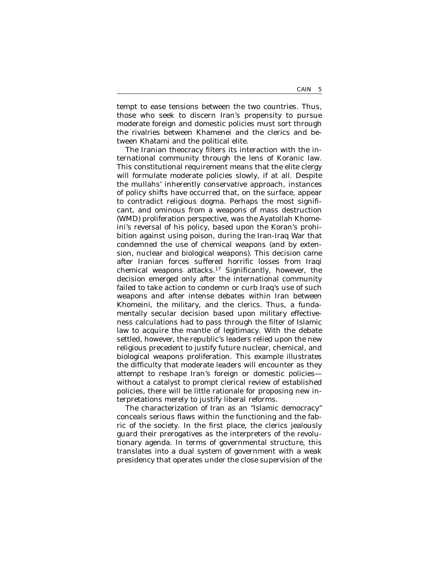tempt to ease tensions between the two countries. Thus, those who seek to discern Iran's propensity to pursue moderate foreign and domestic policies must sort through the rivalries between Khamenei and the clerics and between Khatami and the political elite.

The Iranian theocracy filters its interaction with the international community through the lens of Koranic law. This constitutional requirement means that the elite clergy will formulate moderate policies slowly, if at all. Despite the mullahs' inherently conservative approach, instances of policy shifts have occurred that, on the surface, appear to contradict religious dogma. Perhaps the most significant, and ominous from a weapons of mass destruction (WMD) proliferation perspective, was the Ayatollah Khomeini's reversal of his policy, based upon the Koran's prohibition against using poison, during the Iran-Iraq War that condemned the use of chemical weapons (and by extension, nuclear and biological weapons). This decision came after Iranian forces suffered horrific losses from Iraqi chemical weapons attacks.17 Significantly, however, the decision emerged only after the international community failed to take action to condemn or curb Iraq's use of such weapons and after intense debates within Iran between Khomeini, the military, and the clerics. Thus, a fundamentally secular decision based upon military effectiveness calculations had to pass through the filter of Islamic law to acquire the mantle of legitimacy. With the debate settled, however, the republic's leaders relied upon the new religious precedent to justify future nuclear, chemical, and biological weapons proliferation. This example illustrates the difficulty that moderate leaders will encounter as they attempt to reshape Iran's foreign or domestic policies without a catalyst to prompt clerical review of established policies, there will be little rationale for proposing new interpretations merely to justify liberal reforms.

The characterization of Iran as an "Islamic democracy" conceals serious flaws within the functioning and the fabric of the society. In the first place, the clerics jealously guard their prerogatives as the interpreters of the revolutionary agenda. In terms of governmental structure, this translates into a dual system of government with a weak presidency that operates under the close supervision of the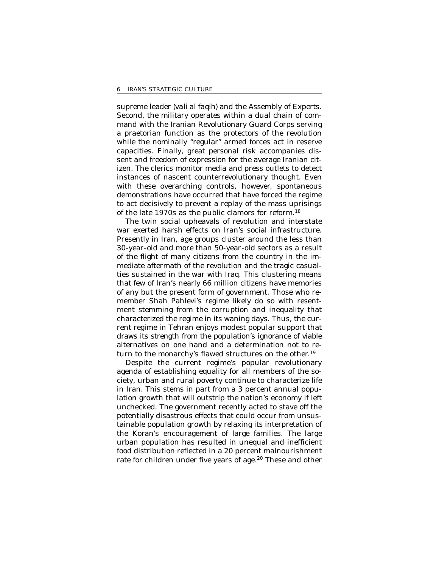supreme leader *(vali al faqih)* and the Assembly of Experts. Second, the military operates within a dual chain of command with the Iranian Revolutionary Guard Corps serving a praetorian function as the protectors of the revolution while the nominally "regular" armed forces act in reserve capacities. Finally, great personal risk accompanies dissent and freedom of expression for the average Iranian citizen. The clerics monitor media and press outlets to detect instances of nascent counterrevolutionary thought. Even with these overarching controls, however, spontaneous demonstrations have occurred that have forced the regime to act decisively to prevent a replay of the mass uprisings of the late 1970s as the public clamors for reform.<sup>18</sup>

The twin social upheavals of revolution and interstate war exerted harsh effects on Iran's social infrastructure. Presently in Iran, age groups cluster around the less than 30-year-old and more than 50-year-old sectors as a result of the flight of many citizens from the country in the immediate aftermath of the revolution and the tragic casualties sustained in the war with Iraq. This clustering means that few of Iran's nearly 66 million citizens have memories of any but the present form of government. Those who remember Shah Pahlevi's regime likely do so with resentment stemming from the corruption and inequality that characterized the regime in its waning days. Thus, the current regime in Tehran enjoys modest popular support that draws its strength from the population's ignorance of viable alternatives on one hand and a determination not to return to the monarchy's flawed structures on the other. 19

Despite the current regime's popular revolutionary agenda of establishing equality for all members of the society, urban and rural poverty continue to characterize life in Iran. This stems in part from a 3 percent annual population growth that will outstrip the nation's economy if left unchecked. The government recently acted to stave off the potentially disastrous effects that could occur from unsustainable population growth by relaxing its interpretation of the Koran's encouragement of large families. The large urban population has resulted in unequal and inefficient food distribution reflected in a 20 percent malnourishment rate for children under five years of age.<sup>20</sup> These and other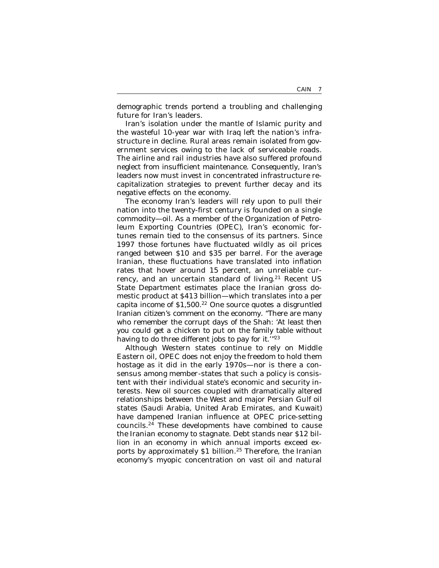demographic trends portend a troubling and challenging future for Iran's leaders.

Iran's isolation under the mantle of Islamic purity and the wasteful 10-year war with Iraq left the nation's infrastructure in decline. Rural areas remain isolated from government services owing to the lack of serviceable roads. The airline and rail industries have also suffered profound neglect from insufficient maintenance. Consequently, Iran's leaders now must invest in concentrated infrastructure recapitalization strategies to prevent further decay and its negative effects on the economy.

The economy Iran's leaders will rely upon to pull their nation into the twenty-first century is founded on a single commodity—oil. As a member of the Organization of Petroleum Exporting Countries (OPEC), Iran's economic fortunes remain tied to the consensus of its partners. Since 1997 those fortunes have fluctuated wildly as oil prices ranged between \$10 and \$35 per barrel. For the average Iranian, these fluctuations have translated into inflation rates that hover around 15 percent, an unreliable currency, and an uncertain standard of living.<sup>21</sup> Recent US State Department estimates place the Iranian gross domestic product at \$413 billion—which translates into a per capita income of  $$1,500.<sup>22</sup>$  One source quotes a disgruntled Iranian citizen's comment on the economy. "There are many who remember the corrupt days of the Shah: 'At least then you could get a chicken to put on the family table without having to do three different jobs to pay for it.<sup>"23</sup>

Although Western states continue to rely on Middle Eastern oil, OPEC does not enjoy the freedom to hold them hostage as it did in the early 1970s—nor is there a consensus among member-states that such a policy is consistent with their individual state's economic and security interests. New oil sources coupled with dramatically altered relationships between the West and major Persian Gulf oil states (Saudi Arabia, United Arab Emirates, and Kuwait) have dampened Iranian influence at OPEC price-setting councils.24 These developments have combined to cause the Iranian economy to stagnate. Debt stands near \$12 billion in an economy in which annual imports exceed exports by approximately \$1 billion.<sup>25</sup> Therefore, the Iranian economy's myopic concentration on vast oil and natural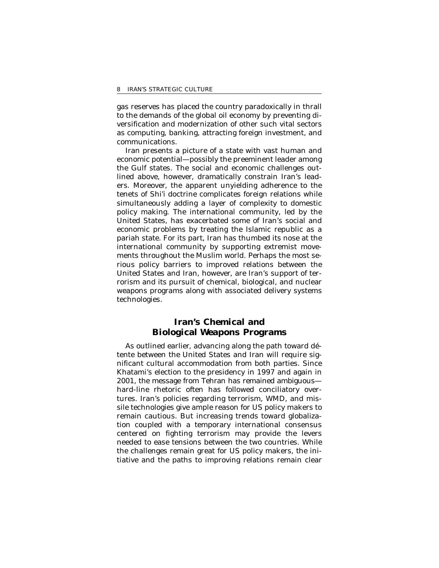gas reserves has placed the country paradoxically in thrall to the demands of the global oil economy by preventing diversification and modernization of other such vital sectors as computing, banking, attracting foreign investment, and communications.

Iran presents a picture of a state with vast human and economic potential—possibly the preeminent leader among the Gulf states. The social and economic challenges outlined above, however, dramatically constrain Iran's leaders. Moreover, the apparent unyielding adherence to the tenets of Shi'i doctrine complicates foreign relations while simultaneously adding a layer of complexity to domestic policy making. The international community, led by the United States, has exacerbated some of Iran's social and economic problems by treating the Islamic republic as a pariah state. For its part, Iran has thumbed its nose at the international community by supporting extremist movements throughout the Muslim world. Perhaps the most serious policy barriers to improved relations between the United States and Iran, however, are Iran's support of terrorism and its pursuit of chemical, biological, and nuclear weapons programs along with associated delivery systems technologies.

### **Iran's Chemical and Biological Weapons Programs**

As outlined earlier, advancing along the path toward détente between the United States and Iran will require significant cultural accommodation from both parties. Since Khatami's election to the presidency in 1997 and again in 2001, the message from Tehran has remained ambiguous hard-line rhetoric often has followed conciliatory overtures. Iran's policies regarding terrorism, WMD, and missile technologies give ample reason for US policy makers to remain cautious. But increasing trends toward globalization coupled with a temporary international consensus centered on fighting terrorism may provide the levers needed to ease tensions between the two countries. While the challenges remain great for US policy makers, the initiative and the paths to improving relations remain clear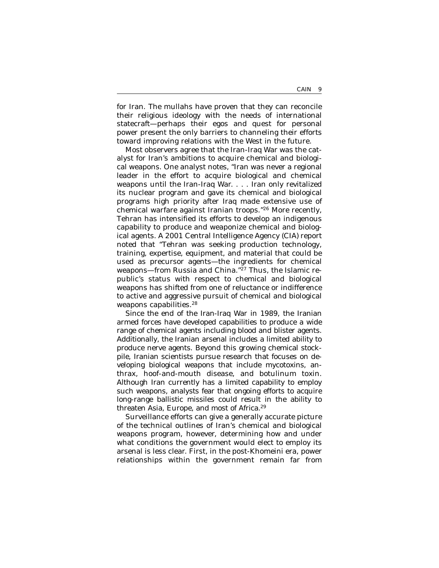for Iran. The mullahs have proven that they can reconcile their religious ideology with the needs of international statecraft—perhaps their egos and quest for personal power present the only barriers to channeling their efforts toward improving relations with the West in the future.

Most observers agree that the Iran-Iraq War was the catalyst for Iran's ambitions to acquire chemical and biological weapons. One analyst notes, "Iran was never a regional leader in the effort to acquire biological and chemical weapons until the Iran-Iraq War. . . . Iran only revitalized its nuclear program and gave its chemical and biological programs high priority after Iraq made extensive use of chemical warfare against Iranian troops."26 More recently, Tehran has intensified its efforts to develop an indigenous capability to produce and weaponize chemical and biological agents. A 2001 Central Intelligence Agency (CIA) report noted that "Tehran was seeking production technology, training, expertise, equipment, and material that could be used as precursor agents—the ingredients for chemical weapons—from Russia and China."27 Thus, the Islamic republic's status with respect to chemical and biological weapons has shifted from one of reluctance or indifference to active and aggressive pursuit of chemical and biological weapons capabilities.<sup>28</sup>

Since the end of the Iran-Iraq War in 1989, the Iranian armed forces have developed capabilities to produce a wide range of chemical agents including blood and blister agents. Additionally, the Iranian arsenal includes a limited ability to produce nerve agents. Beyond this growing chemical stockpile, Iranian scientists pursue research that focuses on developing biological weapons that include mycotoxins, anthrax, hoof-and-mouth disease, and botulinum toxin. Although Iran currently has a limited capability to employ such weapons, analysts fear that ongoing efforts to acquire long-range ballistic missiles could result in the ability to threaten Asia, Europe, and most of Africa.29

Surveillance efforts can give a generally accurate picture of the technical outlines of Iran's chemical and biological weapons program, however, determining how and under what conditions the government would elect to employ its arsenal is less clear. First, in the post-Khomeini era, power relationships within the government remain far from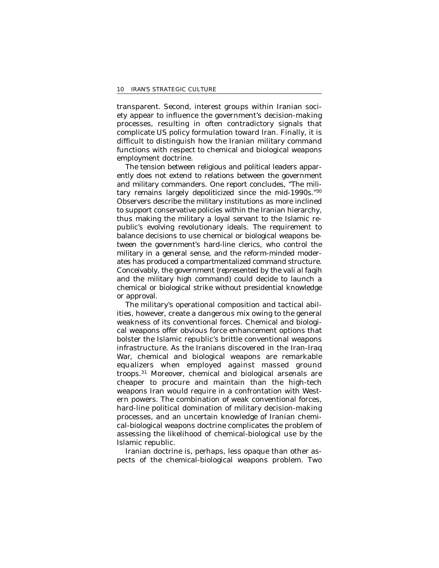transparent. Second, interest groups within Iranian society appear to influence the government's decision-making processes, resulting in often contradictory signals that complicate US policy formulation toward Iran. Finally, it is difficult to distinguish how the Iranian military command functions with respect to chemical and biological weapons employment doctrine.

The tension between religious and political leaders apparently does not extend to relations between the government and military commanders. One report concludes, "The military remains largely depoliticized since the mid-1990s."30 Observers describe the military institutions as more inclined to support conservative policies within the Iranian hierarchy, thus making the military a loyal servant to the Islamic republic's evolving revolutionary ideals. The requirement to balance decisions to use chemical or biological weapons between the government's hard-line clerics, who control the military in a general sense, and the reform-minded moderates has produced a compartmentalized command structure. Conceivably, the government (represented by the *vali al faqih*  and the military high command) could decide to launch a chemical or biological strike without presidential knowledge or approval.

The military's operational composition and tactical abilities, however, create a dangerous mix owing to the general weakness of its conventional forces. Chemical and biological weapons offer obvious force enhancement options that bolster the Islamic republic's brittle conventional weapons infrastructure. As the Iranians discovered in the Iran-Iraq War, chemical and biological weapons are remarkable equalizers when employed against massed ground troops.31 Moreover, chemical and biological arsenals are cheaper to procure and maintain than the high-tech weapons Iran would require in a confrontation with Western powers. The combination of weak conventional forces, hard-line political domination of military decision-making processes, and an uncertain knowledge of Iranian chemical-biological weapons doctrine complicates the problem of assessing the likelihood of chemical-biological use by the Islamic republic.

Iranian doctrine is, perhaps, less opaque than other aspects of the chemical-biological weapons problem. Two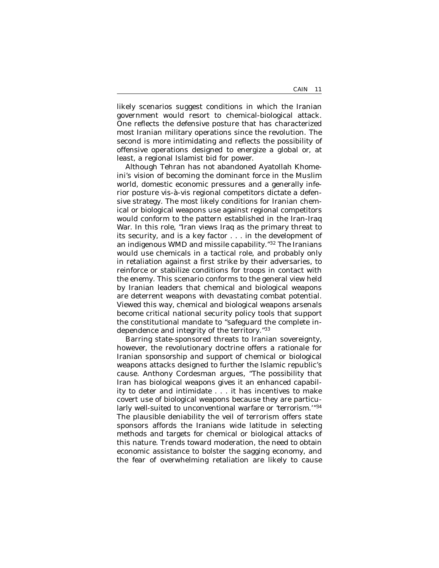likely scenarios suggest conditions in which the Iranian government would resort to chemical-biological attack. One reflects the defensive posture that has characterized most Iranian military operations since the revolution. The second is more intimidating and reflects the possibility of offensive operations designed to energize a global or, at least, a regional Islamist bid for power.

Although Tehran has not abandoned Ayatollah Khomeini's vision of becoming the dominant force in the Muslim world, domestic economic pressures and a generally inferior posture vis-à-vis regional competitors dictate a defensive strategy. The most likely conditions for Iranian chemical or biological weapons use against regional competitors would conform to the pattern established in the Iran-Iraq War. In this role, "Iran views Iraq as the primary threat to its security, and is a key factor . . . in the development of an indigenous WMD and missile capability."32 The Iranians would use chemicals in a tactical role, and probably only in retaliation against a first strike by their adversaries, to reinforce or stabilize conditions for troops in contact with the enemy. This scenario conforms to the general view held by Iranian leaders that chemical and biological weapons are deterrent weapons with devastating combat potential. Viewed this way, chemical and biological weapons arsenals become critical national security policy tools that support the constitutional mandate to "safeguard the complete independence and integrity of the territory."33

Barring state-sponsored threats to Iranian sovereignty, however, the revolutionary doctrine offers a rationale for Iranian *sponsorship and support* of chemical or biological weapons attacks designed to further the Islamic republic's cause. Anthony Cordesman argues, "The possibility that Iran has biological weapons gives it an enhanced capability to deter and intimidate . . . it has incentives to make covert use of biological weapons because they are particularly well-suited to unconventional warfare or 'terrorism.'"34 The plausible deniability the veil of terrorism offers state sponsors affords the Iranians wide latitude in selecting methods and targets for chemical or biological attacks of this nature. Trends toward moderation, the need to obtain economic assistance to bolster the sagging economy, and the fear of overwhelming retaliation are likely to cause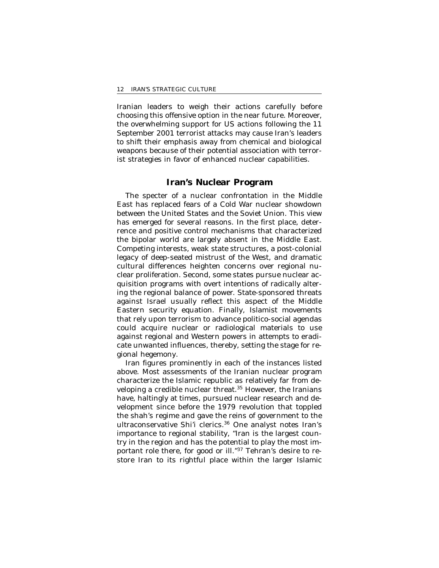Iranian leaders to weigh their actions carefully before choosing this offensive option in the near future. Moreover, the overwhelming support for US actions following the 11 September 2001 terrorist attacks may cause Iran's leaders to shift their emphasis away from chemical and biological weapons because of their potential association with terrorist strategies in favor of enhanced nuclear capabilities.

### **Iran's Nuclear Program**

The specter of a nuclear confrontation in the Middle East has replaced fears of a Cold War nuclear showdown between the United States and the Soviet Union. This view has emerged for several reasons. In the first place, deterrence and positive control mechanisms that characterized the bipolar world are largely absent in the Middle East. Competing interests, weak state structures, a post-colonial legacy of deep-seated mistrust of the West, and dramatic cultural differences heighten concerns over regional nuclear proliferation. Second, some states pursue nuclear acquisition programs with overt intentions of radically altering the regional balance of power. State-sponsored threats against Israel usually reflect this aspect of the Middle Eastern security equation. Finally, Islamist movements that rely upon terrorism to advance politico-social agendas could acquire nuclear or radiological materials to use against regional and Western powers in attempts to eradicate unwanted influences, thereby, setting the stage for regional hegemony.

Iran figures prominently in each of the instances listed above. Most assessments of the Iranian nuclear program characterize the Islamic republic as relatively far from developing a credible nuclear threat.<sup>35</sup> However, the Iranians have, haltingly at times, pursued nuclear research and development since before the 1979 revolution that toppled the shah's regime and gave the reins of government to the ultraconservative Shi'i clerics.36 One analyst notes Iran's importance to regional stability, "Iran is the largest country in the region and has the potential to play the most important role there, for good or ill."37 Tehran's desire to restore Iran to its rightful place within the larger Islamic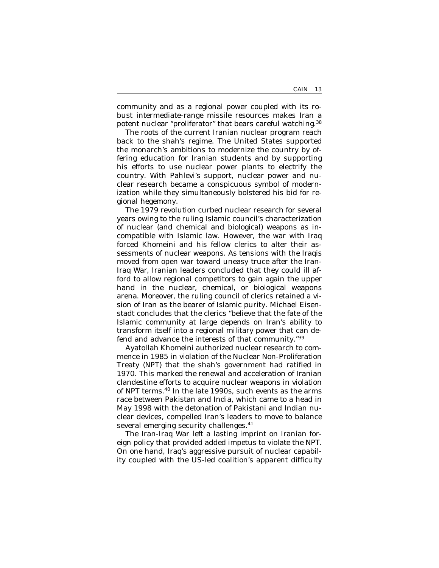community and as a regional power coupled with its robust intermediate-range missile resources makes Iran a potent nuclear "proliferator" that bears careful watching.<sup>38</sup>

The roots of the current Iranian nuclear program reach back to the shah's regime. The United States supported the monarch's ambitions to modernize the country by offering education for Iranian students and by supporting his efforts to use nuclear power plants to electrify the country. With Pahlevi's support, nuclear power and nuclear research became a conspicuous symbol of modernization while they simultaneously bolstered his bid for regional hegemony.

The 1979 revolution curbed nuclear research for several years owing to the ruling Islamic council's characterization of nuclear (and chemical and biological) weapons as incompatible with Islamic law. However, the war with Iraq forced Khomeini and his fellow clerics to alter their assessments of nuclear weapons. As tensions with the Iraqis moved from open war toward uneasy truce after the Iran-Iraq War, Iranian leaders concluded that they could ill afford to allow regional competitors to gain again the upper hand in the nuclear, chemical, or biological weapons arena. Moreover, the ruling council of clerics retained a vision of Iran as the bearer of Islamic purity. Michael Eisenstadt concludes that the clerics "believe that the fate of the Islamic community at large depends on Iran's ability to transform itself into a regional military power that can defend and advance the interests of that community."39

Ayatollah Khomeini authorized nuclear research to commence in 1985 in violation of the Nuclear Non-Proliferation Treaty (NPT) that the shah's government had ratified in 1970. This marked the renewal and acceleration of Iranian clandestine efforts to acquire nuclear weapons in violation of NPT terms.40 In the late 1990s, such events as the arms race between Pakistan and India, which came to a head in May 1998 with the detonation of Pakistani and Indian nuclear devices, compelled Iran's leaders to move to balance several emerging security challenges.<sup>41</sup>

The Iran-Iraq War left a lasting imprint on Iranian foreign policy that provided added impetus to violate the NPT. On one hand, Iraq's aggressive pursuit of nuclear capability coupled with the US-led coalition's apparent difficulty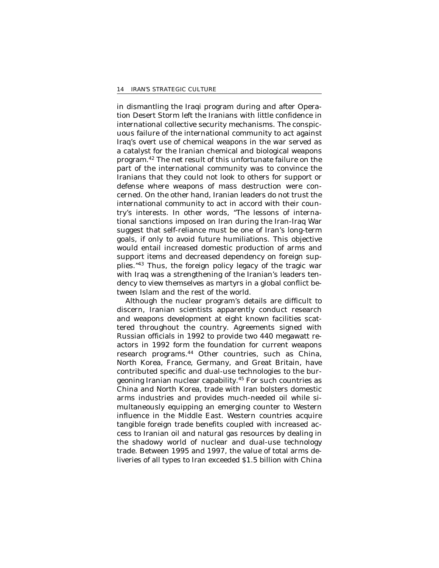in dismantling the Iraqi program during and after Operation Desert Storm left the Iranians with little confidence in international collective security mechanisms. The conspicuous failure of the international community to act against Iraq's overt use of chemical weapons in the war served as a catalyst for the Iranian chemical and biological weapons program.42 The net result of this unfortunate failure on the part of the international community was to convince the Iranians that they could not look to others for support or defense where weapons of mass destruction were concerned. On the other hand, Iranian leaders do not trust the international community to act in accord with their country's interests. In other words, "The lessons of international sanctions imposed on Iran during the Iran-Iraq War suggest that self-reliance must be one of Iran's long-term goals, if only to avoid future humiliations. This objective would entail increased domestic production of arms and support items and decreased dependency on foreign supplies."43 Thus, the foreign policy legacy of the tragic war with Iraq was a strengthening of the Iranian's leaders tendency to view themselves as martyrs in a global conflict between Islam and the rest of the world.

Although the nuclear program's details are difficult to discern, Iranian scientists apparently conduct research and weapons development at eight known facilities scattered throughout the country. Agreements signed with Russian officials in 1992 to provide two 440 megawatt reactors in 1992 form the foundation for current weapons research programs.<sup>44</sup> Other countries, such as China, North Korea, France, Germany, and Great Britain, have contributed specific and dual-use technologies to the burgeoning Iranian nuclear capability.45 For such countries as China and North Korea, trade with Iran bolsters domestic arms industries and provides much-needed oil while simultaneously equipping an emerging counter to Western influence in the Middle East. Western countries acquire tangible foreign trade benefits coupled with increased access to Iranian oil and natural gas resources by dealing in the shadowy world of nuclear and dual-use technology trade. Between 1995 and 1997, the value of total arms deliveries of all types to Iran exceeded \$1.5 billion with China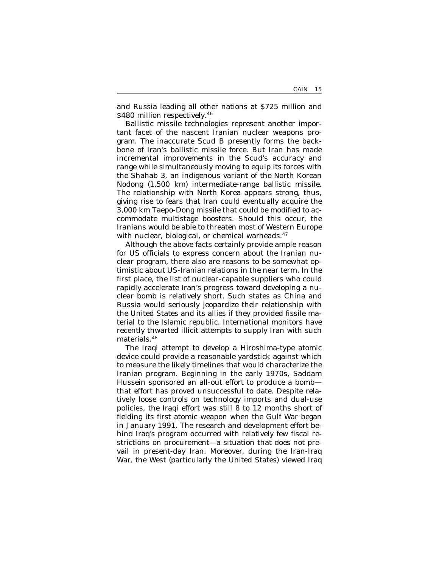and Russia leading all other nations at \$725 million and \$480 million respectively.<sup>46</sup>

Ballistic missile technologies represent another important facet of the nascent Iranian nuclear weapons program. The inaccurate Scud B presently forms the backbone of Iran's ballistic missile force. But Iran has made incremental improvements in the Scud's accuracy and range while simultaneously moving to equip its forces with the Shahab 3, an indigenous variant of the North Korean Nodong (1,500 km) intermediate-range ballistic missile. The relationship with North Korea appears strong, thus, giving rise to fears that Iran could eventually acquire the 3,000 km Taepo-Dong missile that could be modified to accommodate multistage boosters. Should this occur, the Iranians would be able to threaten most of Western Europe with nuclear, biological, or chemical warheads.<sup>47</sup>

Although the above facts certainly provide ample reason for US officials to express concern about the Iranian nuclear program, there also are reasons to be somewhat optimistic about US-Iranian relations in the near term. In the first place, the list of nuclear-capable suppliers who could rapidly accelerate Iran's progress toward developing a nuclear bomb is relatively short. Such states as China and Russia would seriously jeopardize their relationship with the United States and its allies if they provided fissile material to the Islamic republic. International monitors have recently thwarted illicit attempts to supply Iran with such materials.<sup>48</sup>

The Iraqi attempt to develop a Hiroshima-type atomic device could provide a reasonable yardstick against which to measure the likely timelines that would characterize the Iranian program. Beginning in the early 1970s, Saddam Hussein sponsored an all-out effort to produce a bomb that effort has proved unsuccessful to date. Despite relatively loose controls on technology imports and dual-use policies, the Iraqi effort was still 8 to 12 months short of fielding its first atomic weapon when the Gulf War began in January 1991. The research and development effort behind Iraq's program occurred with relatively few fiscal restrictions on procurement—a situation that does not prevail in present-day Iran. Moreover, during the Iran-Iraq War, the West (particularly the United States) viewed Iraq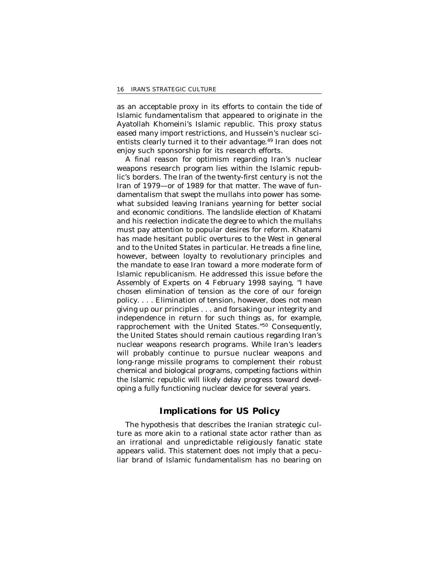as an acceptable proxy in its efforts to contain the tide of Islamic fundamentalism that appeared to originate in the Ayatollah Khomeini's Islamic republic. This proxy status eased many import restrictions, and Hussein's nuclear scientists clearly turned it to their advantage.<sup>49</sup> Iran does not enjoy such sponsorship for its research efforts.

A final reason for optimism regarding Iran's nuclear weapons research program lies within the Islamic republic's borders. The Iran of the twenty-first century is not the Iran of 1979—or of 1989 for that matter. The wave of fundamentalism that swept the mullahs into power has somewhat subsided leaving Iranians yearning for better social and economic conditions. The landslide election of Khatami and his reelection indicate the degree to which the mullahs must pay attention to popular desires for reform. Khatami has made hesitant public overtures to the West in general and to the United States in particular. He treads a fine line, however, between loyalty to revolutionary principles and the mandate to ease Iran toward a more moderate form of Islamic republicanism. He addressed this issue before the Assembly of Experts on 4 February 1998 saying, "I have chosen elimination of tension as the core of our foreign policy. . . . Elimination of tension, however, does not mean giving up our principles . . . and forsaking our integrity and independence in return for such things as, for example, rapprochement with the United States."50 Consequently, the United States should remain cautious regarding Iran's nuclear weapons research programs. While Iran's leaders will probably continue to pursue nuclear weapons and long-range missile programs to complement their robust chemical and biological programs, competing factions within the Islamic republic will likely delay progress toward developing a fully functioning nuclear device for several years.

### **Implications for US Policy**

The hypothesis that describes the Iranian strategic culture as more akin to a rational state actor rather than as an irrational and unpredictable religiously fanatic state appears valid. This statement does not imply that a peculiar brand of Islamic fundamentalism has no bearing on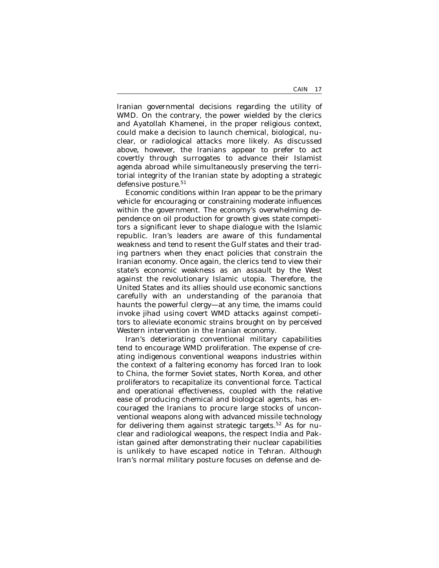Iranian governmental decisions regarding the utility of WMD. On the contrary, the power wielded by the clerics and Ayatollah Khamenei, in the proper religious context, could make a decision to launch chemical, biological, nuclear, or radiological attacks more likely. As discussed above, however, the Iranians appear to prefer to act covertly through surrogates to advance their Islamist agenda abroad while simultaneously preserving the territorial integrity of the Iranian state by adopting a strategic defensive posture.<sup>51</sup>

Economic conditions within Iran appear to be the primary vehicle for encouraging or constraining moderate influences within the government. The economy's overwhelming dependence on oil production for growth gives state competitors a significant lever to shape dialogue with the Islamic republic. Iran's leaders are aware of this fundamental weakness and tend to resent the Gulf states and their trading partners when they enact policies that constrain the Iranian economy. Once again, the clerics tend to view their state's economic weakness as an assault by the West against the revolutionary Islamic utopia. Therefore, the United States and its allies should use economic sanctions carefully with an understanding of the paranoia that haunts the powerful clergy—at any time, the imams could invoke *jihad* using covert WMD attacks against competitors to alleviate economic strains brought on by perceived Western intervention in the Iranian economy.

Iran's deteriorating conventional military capabilities tend to encourage WMD proliferation. The expense of creating indigenous conventional weapons industries within the context of a faltering economy has forced Iran to look to China, the former Soviet states, North Korea, and other proliferators to recapitalize its conventional force. Tactical and operational effectiveness, coupled with the relative ease of producing chemical and biological agents, has encouraged the Iranians to procure large stocks of unconventional weapons along with advanced missile technology for delivering them against strategic targets.<sup>52</sup> As for nuclear and radiological weapons, the respect India and Pakistan gained after demonstrating their nuclear capabilities is unlikely to have escaped notice in Tehran. Although Iran's normal military posture focuses on defense and de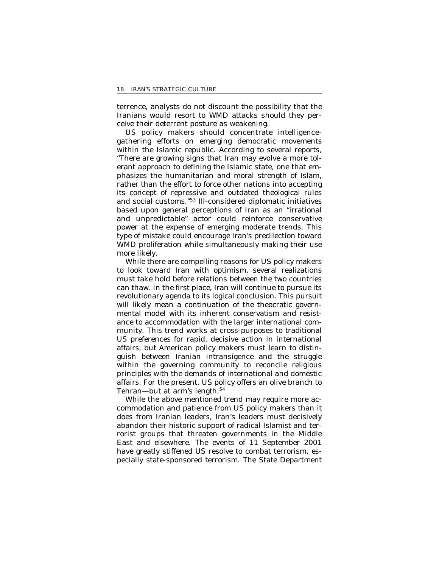terrence, analysts do not discount the possibility that the Iranians would resort to WMD attacks should they perceive their deterrent posture as weakening.

US policy makers should concentrate intelligencegathering efforts on emerging democratic movements within the Islamic republic. According to several reports, "There are growing signs that Iran may evolve a more tolerant approach to defining the Islamic state, one that emphasizes the humanitarian and moral strength of Islam, rather than the effort to force other nations into accepting its concept of repressive and outdated theological rules and social customs."53 Ill-considered diplomatic initiatives based upon general perceptions of Iran as an "irrational and unpredictable" actor could reinforce conservative power at the expense of emerging moderate trends. This type of mistake could encourage Iran's predilection toward WMD proliferation while simultaneously making their use more likely.

While there are compelling reasons for US policy makers to look toward Iran with optimism, several realizations must take hold before relations between the two countries can thaw. In the first place, Iran will continue to pursue its revolutionary agenda to its logical conclusion. This pursuit will likely mean a continuation of the theocratic governmental model with its inherent conservatism and resistance to accommodation with the larger international community. This trend works at cross-purposes to traditional US preferences for rapid, decisive action in international affairs, but American policy makers must learn to distinguish between Iranian intransigence and the struggle within the governing community to reconcile religious principles with the demands of international and domestic affairs. For the present, US policy offers an olive branch to Tehran—but at arm's length.<sup>54</sup>

While the above mentioned trend may require more accommodation and patience from US policy makers than it does from Iranian leaders, Iran's leaders must decisively abandon their historic support of radical Islamist and terrorist groups that threaten governments in the Middle East and elsewhere. The events of 11 September 2001 have greatly stiffened US resolve to combat terrorism, especially state-sponsored terrorism. The State Department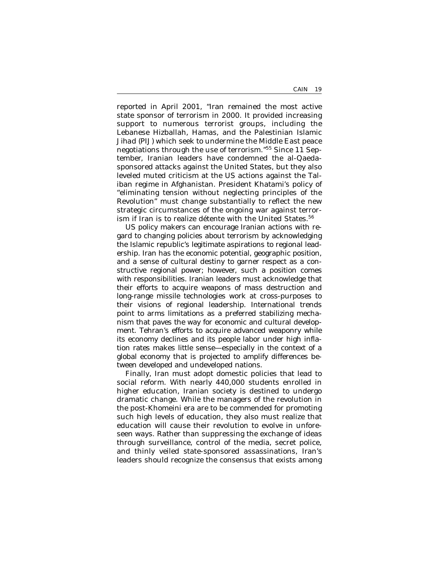reported in April 2001, "Iran remained the most active state sponsor of terrorism in 2000. It provided increasing support to numerous terrorist groups, including the Lebanese Hizballah, Hamas, and the Palestinian Islamic *Jihad* (PIJ) which seek to undermine the Middle East peace negotiations through the use of terrorism."55 Since 11 September, Iranian leaders have condemned the al-Qaedasponsored attacks against the United States, but they also leveled muted criticism at the US actions against the Taliban regime in Afghanistan. President Khatami's policy of "eliminating tension without neglecting principles of the Revolution" must change substantially to reflect the new strategic circumstances of the ongoing war against terrorism if Iran is to realize détente with the United States.<sup>56</sup>

US policy makers can encourage Iranian actions with regard to changing policies about terrorism by acknowledging the Islamic republic's legitimate aspirations to regional leadership. Iran has the economic potential, geographic position, and a sense of cultural destiny to garner respect as a constructive regional power; however, such a position comes with responsibilities. Iranian leaders must acknowledge that their efforts to acquire weapons of mass destruction and long-range missile technologies work at cross-purposes to their visions of regional leadership. International trends point to arms limitations as a preferred stabilizing mechanism that paves the way for economic and cultural development. Tehran's efforts to acquire advanced weaponry while its economy declines and its people labor under high inflation rates makes little sense—especially in the context of a global economy that is projected to amplify differences between developed and undeveloped nations.

Finally, Iran must adopt domestic policies that lead to social reform. With nearly 440,000 students enrolled in higher education, Iranian society is destined to undergo dramatic change. While the managers of the revolution in the post-Khomeini era are to be commended for promoting such high levels of education, they also must realize that education will cause their revolution to evolve in unforeseen ways. Rather than suppressing the exchange of ideas through surveillance, control of the media, secret police, and thinly veiled state-sponsored assassinations, Iran's leaders should recognize the consensus that exists among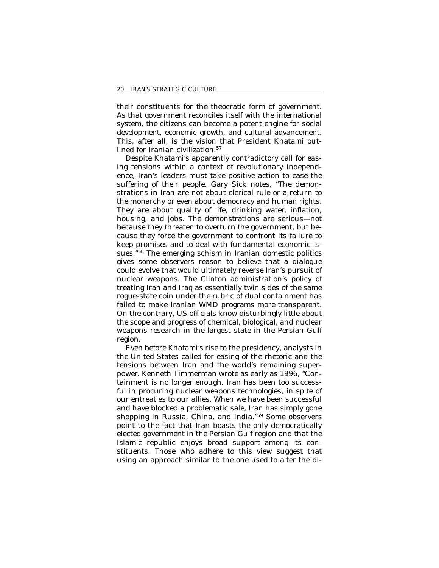their constituents for the theocratic form of government. As that government reconciles itself with the international system, the citizens can become a potent engine for social development, economic growth, and cultural advancement. This, after all, is the vision that President Khatami outlined for Iranian civilization.<sup>57</sup>

Despite Khatami's apparently contradictory call for easing tensions within a context of revolutionary independence, Iran's leaders must take positive action to ease the suffering of their people. Gary Sick notes, "The demonstrations in Iran are not about clerical rule or a return to the monarchy or even about democracy and human rights. They are about quality of life, drinking water, inflation, housing, and jobs. The demonstrations are serious—not because they threaten to overturn the government, but because they force the government to confront its failure to keep promises and to deal with fundamental economic issues."58 The emerging schism in Iranian domestic politics gives some observers reason to believe that a dialogue could evolve that would ultimately reverse Iran's pursuit of nuclear weapons. The Clinton administration's policy of treating Iran and Iraq as essentially twin sides of the same rogue-state coin under the rubric of dual containment has failed to make Iranian WMD programs more transparent. On the contrary, US officials know disturbingly little about the scope and progress of chemical, biological, and nuclear weapons research in the largest state in the Persian Gulf region.

Even before Khatami's rise to the presidency, analysts in the United States called for easing of the rhetoric and the tensions between Iran and the world's remaining superpower. Kenneth Timmerman wrote as early as 1996, "Containment is no longer enough. Iran has been too successful in procuring nuclear weapons technologies, in spite of our entreaties to our allies. When we have been successful and have blocked a problematic sale, Iran has simply gone shopping in Russia, China, and India."59 Some observers point to the fact that Iran boasts the only democratically elected government in the Persian Gulf region and that the Islamic republic enjoys broad support among its constituents. Those who adhere to this view suggest that using an approach similar to the one used to alter the di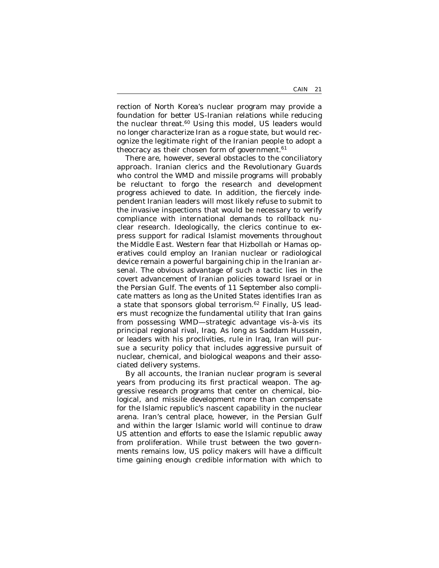rection of North Korea's nuclear program may provide a foundation for better US-Iranian relations while reducing the nuclear threat.<sup>60</sup> Using this model, US leaders would no longer characterize Iran as a rogue state, but would recognize the legitimate right of the Iranian people to adopt a theocracy as their chosen form of government. $61$ 

There are, however, several obstacles to the conciliatory approach. Iranian clerics and the Revolutionary Guards who control the WMD and missile programs will probably be reluctant to forgo the research and development progress achieved to date. In addition, the fiercely independent Iranian leaders will most likely refuse to submit to the invasive inspections that would be necessary to verify compliance with international demands to rollback nuclear research. Ideologically, the clerics continue to express support for radical Islamist movements throughout the Middle East. Western fear that Hizbollah or Hamas operatives could employ an Iranian nuclear or radiological device remain a powerful bargaining chip in the Iranian arsenal. The obvious advantage of such a tactic lies in the covert advancement of Iranian policies toward Israel or in the Persian Gulf. The events of 11 September also complicate matters as long as the United States identifies Iran as a state that sponsors global terrorism.<sup>62</sup> Finally, US leaders must recognize the fundamental utility that Iran gains from possessing WMD—strategic advantage vis-à-vis its principal regional rival, Iraq. As long as Saddam Hussein, or leaders with his proclivities, rule in Iraq, Iran will pursue a security policy that includes aggressive pursuit of nuclear, chemical, and biological weapons and their associated delivery systems.

By all accounts, the Iranian nuclear program is several years from producing its first practical weapon. The aggressive research programs that center on chemical, biological, and missile development more than compensate for the Islamic republic's nascent capability in the nuclear arena. Iran's central place, however, in the Persian Gulf and within the larger Islamic world will continue to draw US attention and efforts to ease the Islamic republic away from proliferation. While trust between the two governments remains low, US policy makers will have a difficult time gaining enough credible information with which to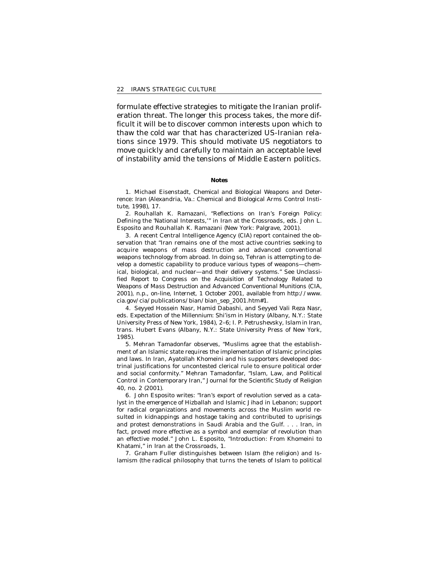formulate effective strategies to mitigate the Iranian proliferation threat. The longer this process takes, the more difficult it will be to discover common interests upon which to thaw the cold war that has characterized US-Iranian relations since 1979. This should motivate US negotiators to move quickly and carefully to maintain an acceptable level of instability amid the tensions of Middle Eastern politics.

#### **Notes**

1. Michael Eisenstadt, *Chemical and Biological Weapons and Deterrence: Iran* (Alexandria, Va.: Chemical and Biological Arms Control Institute, 1998), 17.

2. Rouhallah K. Ramazani, "Reflections on Iran's Foreign Policy: Defining the 'National Interests,'" in I*ran at the Crossroads,* eds. John L. Esposito and Rouhallah K. Ramazani (New York: Palgrave, 2001).

3. A recent Central Intelligence Agency (CIA) report contained the observation that "Iran remains one of the most active countries seeking to acquire weapons of mass destruction and advanced conventional weapons technology from abroad. In doing so, Tehran is attempting to develop a domestic capability to produce various types of weapons—chemical, biological, and nuclear—and their delivery systems." See *Unclassified Report to Congress on the Acquisition of Technology Related to Weapons of Mass Destruction and Advanced Conventional Munitions* (CIA, 2001), n.p., on-line, Internet, 1 October 2001, available from http://www. cia.gov/cia/publications/bian/bian\_sep\_2001.htm#1.

4. Seyyed Hossein Nasr, Hamid Dabashi, and Seyyed Vali Reza Nasr, eds. *Expectation of the Millennium: Shi'ism in History* (Albany, N.Y.: State University Press of New York, 1984), 2–6; I. P. Petrushevsky, *Islam in Iran,*  trans. Hubert Evans (Albany, N.Y.: State University Press of New York, 1985).

5. Mehran Tamadonfar observes, "Muslims agree that the establishment of an Islamic state requires the implementation of Islamic principles and laws. In Iran, Ayatollah Khomeini and his supporters developed doctrinal justifications for uncontested clerical rule to ensure political order and social conformity." Mehran Tamadonfar, "Islam, Law, and Political Control in Contemporary Iran," *Journal for the Scientific Study of Religion*  40, no. 2 (2001).

6. John Esposito writes: "Iran's export of revolution served as a catalyst in the emergence of Hizballah and Islamic *Jihad* in Lebanon; support for radical organizations and movements across the Muslim world resulted in kidnappings and hostage taking and contributed to uprisings and protest demonstrations in Saudi Arabia and the Gulf. . . . Iran, in fact, proved more effective as a symbol and exemplar of revolution than an effective model." John L. Esposito, "Introduction: From Khomeini to Khatami," in *Iran at the Crossroads,* 1.

7. Graham Fuller distinguishes between Islam (the religion) and Islamism (the radical philosophy that turns the tenets of Islam to political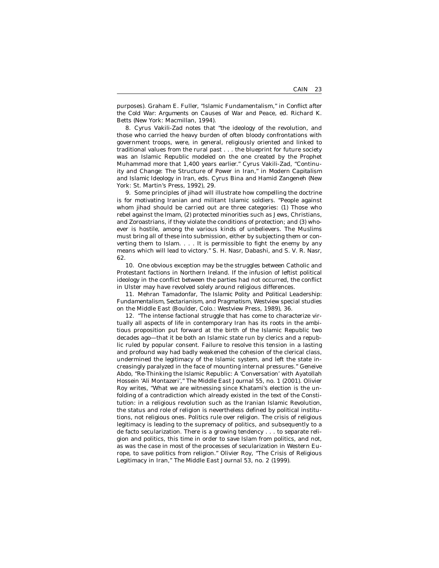purposes). Graham E. Fuller, "Islamic Fundamentalism," in *Conflict after the Cold War: Arguments on Causes of War and Peace,* ed. Richard K. Betts (New York: Macmillan, 1994).

8. Cyrus Vakili-Zad notes that "the ideology of the revolution, and those who carried the heavy burden of often bloody confrontations with government troops, were, in general, religiously oriented and linked to traditional values from the rural past . . . the blueprint for future society was an Islamic Republic modeled on the one created by the Prophet Muhammad more that 1,400 years earlier." Cyrus Vakili-Zad, "Continuity and Change: The Structure of Power in Iran," in *Modern Capitalism and Islamic Ideology in Iran,* eds. Cyrus Bina and Hamid Zangeneh (New York: St. Martin's Press, 1992), 29.

9. Some principles of *jihad* will illustrate how compelling the doctrine is for motivating Iranian and militant Islamic soldiers. "People against whom *jihad* should be carried out are three categories: (1) Those who rebel against the Imam, (2) protected minorities such as Jews, Christians, and Zoroastrians, if they violate the conditions of protection; and (3) whoever is hostile, among the various kinds of unbelievers. The Muslims must bring all of these into submission, either by subjecting them or converting them to Islam. . . . It is permissible to fight the enemy by any means which will lead to victory." S. H. Nasr, Dabashi, and S. V. R. Nasr, 62.

10. One obvious exception may be the struggles between Catholic and Protestant factions in Northern Ireland. If the infusion of leftist political ideology in the conflict between the parties had not occurred, the conflict in Ulster may have revolved solely around religious differences.

11. Mehran Tamadonfar, *The Islamic Polity and Political Leadership: Fundamentalism, Sectarianism, and Pragmatism,* Westview special studies on the Middle East (Boulder, Colo.: Westview Press, 1989), 36.

12. "The intense factional struggle that has come to characterize virtually all aspects of life in contemporary Iran has its roots in the ambitious proposition put forward at the birth of the Islamic Republic two decades ago—that it be both an Islamic state run by clerics and a republic ruled by popular consent. Failure to resolve this tension in a lasting and profound way had badly weakened the cohesion of the clerical class, undermined the legitimacy of the Islamic system, and left the state increasingly paralyzed in the face of mounting internal pressures." Geneive Abdo, "Re-Thinking the Islamic Republic: A 'Conversation' with Ayatollah Hossein 'Ali Montazeri'," *The Middle East Journal* 55, no. 1 (2001). Olivier Roy writes, "What we are witnessing since Khatami's election is the unfolding of a contradiction which already existed in the text of the Constitution: in a religious revolution such as the Iranian Islamic Revolution, the status and role of religion is nevertheless defined by political institutions, not religious ones. Politics rule over religion. The crisis of religious legitimacy is leading to the supremacy of politics, and subsequently to a de facto secularization. There is a growing tendency . . . to separate religion and politics, this time in order to save Islam from politics, and not, as was the case in most of the processes of secularization in Western Europe, to save politics from religion." Olivier Roy, "The Crisis of Religious Legitimacy in Iran," *The Middle East Journal* 53, no. 2 (1999).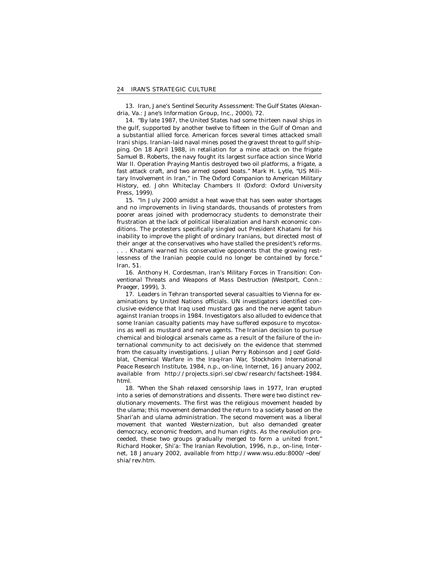13. *Iran, Jane's Sentinel Security Assessment: The Gulf States (Alexan*dria, Va.: Jane's Information Group, Inc., 2000), 72.

14. "By late 1987, the United States had some thirteen naval ships in the gulf, supported by another twelve to fifteen in the Gulf of Oman and a substantial allied force. American forces several times attacked small Irani ships. Iranian-laid naval mines posed the gravest threat to gulf shipping. On 18 April 1988, in retaliation for a mine attack on the frigate *Samuel B. Roberts,* the navy fought its largest surface action since World War II. Operation Praying Mantis destroyed two oil platforms, a frigate, a fast attack craft, and two armed speed boats." Mark H. Lytle, "US Military Involvement in Iran," in *The Oxford Companion to American Military History,* ed. John Whiteclay Chambers II (Oxford: Oxford University Press, 1999).

15. "In July 2000 amidst a heat wave that has seen water shortages and no improvements in living standards, thousands of protesters from poorer areas joined with prodemocracy students to demonstrate their frustration at the lack of political liberalization and harsh economic conditions. The protesters specifically singled out President Khatami for his inability to improve the plight of ordinary Iranians, but directed most of their anger at the conservatives who have stalled the president's reforms. . . . Khatami warned his conservative opponents that the growing restlessness of the Iranian people could no longer be contained by force." Iran, 51.

16. Anthony H. Cordesman, *Iran's Military Forces in Transition: Conventional Threats and Weapons of Mass Destruction* (Westport, Conn.: Praeger, 1999), 3.

17. Leaders in Tehran transported several casualties to Vienna for examinations by United Nations officials. UN investigators identified conclusive evidence that Iraq used mustard gas and the nerve agent tabun against Iranian troops in 1984. Investigators also alluded to evidence that some Iranian casualty patients may have suffered exposure to mycotoxins as well as mustard and nerve agents. The Iranian decision to pursue chemical and biological arsenals came as a result of the failure of the international community to act decisively on the evidence that stemmed from the casualty investigations. Julian Perry Robinson and Jozef Goldblat, *Chemical Warfare in the Iraq-Iran War,* Stockholm International Peace Research Institute, 1984, n.p., on-line, Internet, 16 January 2002, available from http://projects.sipri.se/cbw/research/factsheet-1984. html.

18. "When the Shah relaxed censorship laws in 1977, Iran erupted into a series of demonstrations and dissents. There were two distinct revolutionary movements. The first was the religious movement headed by the *ulama;* this movement demanded the return to a society based on the *Shari'ah* and *ulama* administration. The second movement was a liberal movement that wanted Westernization, but also demanded greater democracy, economic freedom, and human rights. As the revolution proceeded, these two groups gradually merged to form a united front." Richard Hooker, *Shi'a: The Iranian Revolution,* 1996, n.p., on-line, Internet, 18 January 2002, available from http://www.wsu.edu:8000/~dee/ shia/rev.htm.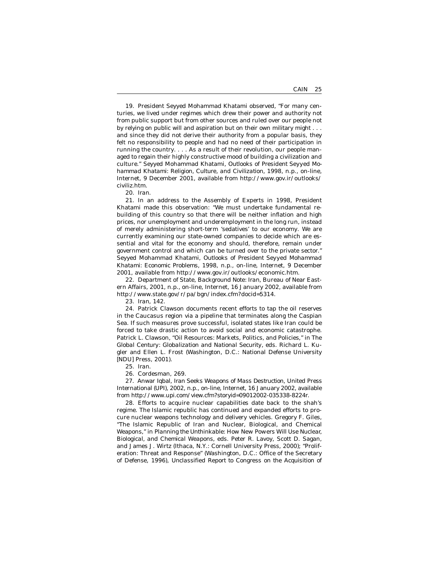19. President Seyyed Mohammad Khatami observed, "For many centuries, we lived under regimes which drew their power and authority not from public support but from other sources and ruled over our people not by relying on public will and aspiration but on their own military might . . . and since they did not derive their authority from a popular basis, they felt no responsibility to people and had no need of their participation in running the country. . . . As a result of their revolution, our people managed to regain their highly constructive mood of building a civilization and culture." Seyyed Mohammad Khatami, *Outlooks of President Seyyed Mohammad Khatami: Religion, Culture, and Civilization,* 1998, n.p., on-line, Internet, 9 December 2001, available from http://www.gov.ir/outlooks/ civiliz.htm.

20. *Iran.* 

21. In an address to the Assembly of Experts in 1998, President Khatami made this observation: "We must undertake fundamental rebuilding of this country so that there will be neither inflation and high prices, nor unemployment and underemployment in the long run, instead of merely administering short-term 'sedatives' to our economy. We are currently examining our state-owned companies to decide which are essential and vital for the economy and should, therefore, remain under government control and which can be turned over to the private sector." Seyyed Mohammad Khatami, *Outlooks of President Seyyed Mohammad Khatami: Economic Problems,* 1998, n.p., on-line, Internet, 9 December 2001, available from http://www.gov.ir/outlooks/economic.htm.

22. Department of State, *Background Note: Iran,* Bureau of Near Eastern Affairs, 2001, n.p., on-line, Internet, 16 January 2002, available from http://www.state.gov/r/pa/bgn/index.cfm?docid=5314.

23. *Iran,* 142.

24. Patrick Clawson documents recent efforts to tap the oil reserves in the Caucasus region via a pipeline that terminates along the Caspian Sea. If such measures prove successful, isolated states like Iran could be forced to take drastic action to avoid social and economic catastrophe. Patrick L. Clawson, "Oil Resources: Markets, Politics, and Policies," in *The Global Century: Globalization and National Security,* eds. Richard L. Kugler and Ellen L. Frost (Washington, D.C.: National Defense University [NDU] Press, 2001).

25. *Iran.* 

26. Cordesman, 269.

27. Anwar Iqbal, *Iran Seeks Weapons of Mass Destruction,* United Press International (UPI), 2002, n.p., on-line, Internet, 16 January 2002, available from http://www.upi.com/view.cfm?storyid=09012002-035338-8224r.

28. Efforts to acquire nuclear capabilities date back to the shah's regime. The Islamic republic has continued and expanded efforts to procure nuclear weapons technology and delivery vehicles. Gregory F. Giles, "The Islamic Republic of Iran and Nuclear, Biological, and Chemical Weapons," in *Planning the Unthinkable: How New Powers Will Use Nuclear, Biological, and Chemical Weapons,* eds. Peter R. Lavoy, Scott D. Sagan, and James J. Wirtz (Ithaca, N.Y.: Cornell University Press, 2000); "Proliferation: Threat and Response" (Washington, D.C.: Office of the Secretary of Defense, 1996), *Unclassified Report to Congress on the Acquisition of*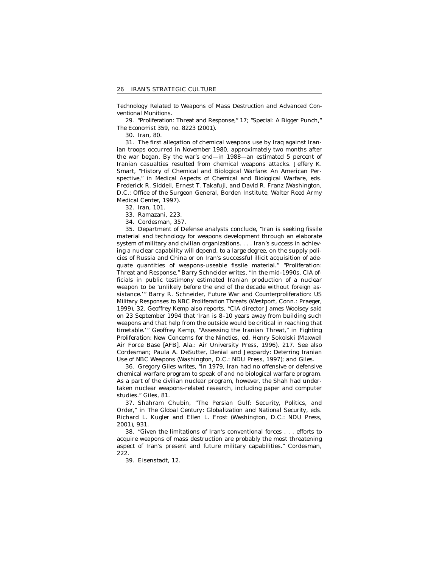*Technology Related to Weapons of Mass Destruction and Advanced Conventional Munitions.* 

29. "Proliferation: Threat and Response," 17; "Special: A Bigger Punch," *The Economist* 359, no. 8223 (2001).

30. I*ran,* 80.

31. The first allegation of chemical weapons use by Iraq against Iranian troops occurred in November 1980, approximately two months after the war began. By the war's end—in 1988—an estimated 5 percent of Iranian casualties resulted from chemical weapons attacks. Jeffery K. Smart, "History of Chemical and Biological Warfare: An American Perspective," in *Medical Aspects of Chemical and Biological Warfare,* eds. Frederick R. Siddell, Ernest T. Takafuji, and David R. Franz (Washington, D.C.: Office of the Surgeon General, Borden Institute, Walter Reed Army Medical Center, 1997).

32. *Iran,* 101.

33. Ramazani, 223.

34. Cordesman, 357.

35. Department of Defense analysts conclude, "Iran is seeking fissile material and technology for weapons development through an elaborate system of military and civilian organizations. . . . Iran's success in achieving a nuclear capability will depend, to a large degree, on the supply policies of Russia and China or on Iran's successful illicit acquisition of adequate quantities of weapons-useable fissile material." "Proliferation: Threat and Response." Barry Schneider writes, "In the mid-1990s, CIA officials in public testimony estimated Iranian production of a nuclear weapon to be 'unlikely before the end of the decade without foreign assistance.'" Barry R. Schneider, *Future War and Counterproliferation: US Military Responses to NBC Proliferation Threats* (Westport, Conn.: Praeger, 1999), 32. Geoffrey Kemp also reports, "CIA director James Woolsey said on 23 September 1994 that 'Iran is 8–10 years away from building such weapons and that help from the outside would be critical in reaching that timetable.'" Geoffrey Kemp, "Assessing the Iranian Threat," in *Fighting Proliferation: New Concerns for the Nineties,* ed. Henry Sokolski (Maxwell Air Force Base [AFB], Ala.: Air University Press, 1996), 217. See also Cordesman; Paula A. DeSutter, *Denial and Jeopardy: Deterring Iranian Use of NBC Weapons* (Washington, D.C.: NDU Press, 1997); and Giles.

36. Gregory Giles writes, "In 1979, Iran had no offensive or defensive chemical warfare program to speak of and no biological warfare program. As a part of the civilian nuclear program, however, the Shah had undertaken nuclear weapons-related research, including paper and computer studies." Giles, 81.

37. Shahram Chubin, "The Persian Gulf: Security, Politics, and Order," in *The Global Century: Globalization and National Security, eds.* Richard L. Kugler and Ellen L. Frost (Washington, D.C.: NDU Press, 2001), 931.

38. "Given the limitations of Iran's conventional forces . . . efforts to acquire weapons of mass destruction are probably the most threatening aspect of Iran's present and future military capabilities." Cordesman, 222.

39. Eisenstadt, 12.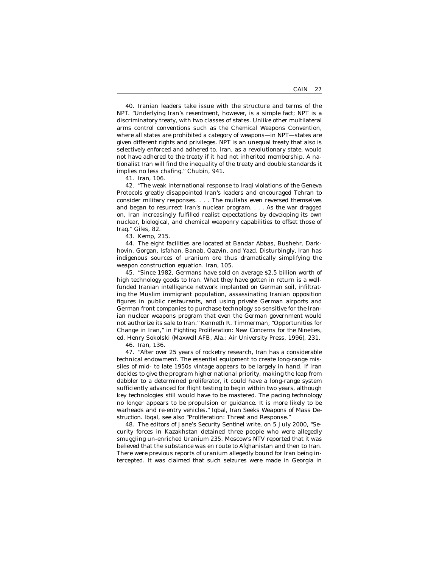40. Iranian leaders take issue with the structure and terms of the NPT. "Underlying Iran's resentment, however, is a simple fact; NPT is a discriminatory treaty, with two classes of states. Unlike other multilateral arms control conventions such as the Chemical Weapons Convention, where all states are prohibited a category of weapons—in NPT—states are given different rights and privileges. NPT is an unequal treaty that also is selectively enforced and adhered to. Iran, as a revolutionary state, would not have adhered to the treaty if it had not inherited membership. A nationalist Iran will find the inequality of the treaty and double standards it implies no less chafing." Chubin, 941.

41. *Iran,* 106.

42. "The weak international response to Iraqi violations of the Geneva Protocols greatly disappointed Iran's leaders and encouraged Tehran to consider military responses. . . . The mullahs even reversed themselves and began to resurrect Iran's nuclear program. . . . As the war dragged on, Iran increasingly fulfilled realist expectations by developing its own nuclear, biological, and chemical weaponry capabilities to offset those of Iraq." Giles, 82.

43. Kemp, 215.

44. The eight facilities are located at Bandar Abbas, Bushehr, Darkhovin, Gorgan, Isfahan, Banab, Qazvin, and Yazd. Disturbingly, Iran has indigenous sources of uranium ore thus dramatically simplifying the weapon construction equation. *Iran,* 105.

45. "Since 1982, Germans have sold on average \$2.5 billion worth of high technology goods to Iran. What they have gotten in return is a wellfunded Iranian intelligence network implanted on German soil, infiltrating the Muslim immigrant population, assassinating Iranian opposition figures in public restaurants, and using private German airports and German front companies to purchase technology so sensitive for the Iranian nuclear weapons program that even the German government would not authorize its sale to Iran." Kenneth R. Timmerman, "Opportunities for Change in Iran," in *Fighting Proliferation: New Concerns for the Nineties,*  ed. Henry Sokolski (Maxwell AFB, Ala.: Air University Press, 1996), 231.

46. *Iran,* 136.

47. "After over 25 years of rocketry research, Iran has a considerable technical endowment. The essential equipment to create long-range missiles of mid- to late 1950s vintage appears to be largely in hand. If Iran decides to give the program higher national priority, making the leap from dabbler to a determined proliferator, it could have a long-range system sufficiently advanced for flight testing to begin within two years, although key technologies still would have to be mastered. The pacing technology no longer appears to be propulsion or guidance. It is more likely to be warheads and re-entry vehicles." Iqbal, *Iran Seeks Weapons of Mass Destruction.* Ibqal, see also "Proliferation: Threat and Response."

48. The editors of *Jane's Security Sentinel* write, on 5 July 2000, "Security forces in Kazakhstan detained three people who were allegedly smuggling un-enriched Uranium 235. Moscow's NTV reported that it was believed that the substance was en route to Afghanistan and then to Iran. There were previous reports of uranium allegedly bound for Iran being intercepted. It was claimed that such seizures were made in Georgia in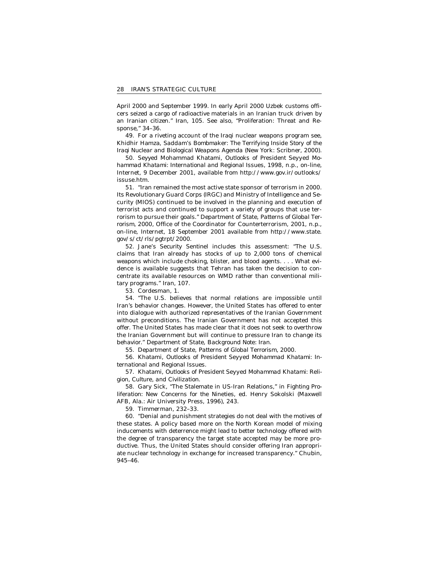April 2000 and September 1999. In early April 2000 Uzbek customs officers seized a cargo of radioactive materials in an Iranian truck driven by an Iranian citizen." *Iran,* 105. See also, "Proliferation: Threat and Response," 34–36.

49. For a riveting account of the Iraqi nuclear weapons program see, Khidhir Hamza, *Saddam's Bombmaker: The Terrifying Inside Story of the Iraqi Nuclear and Biological Weapons Agenda* (New York: Scribner, 2000).

50. Seyyed Mohammad Khatami, *Outlooks of President Seyyed Mohammad Khatami: International and Regional Issues,* 1998, n.p., on-line, Internet, 9 December 2001, available from http://www.gov.ir/outlooks/ issuse.htm.

51. "Iran remained the most active state sponsor of terrorism in 2000. Its Revolutionary Guard Corps (IRGC) and Ministry of Intelligence and Security (MIOS) continued to be involved in the planning and execution of terrorist acts and continued to support a variety of groups that use terrorism to pursue their goals." Department of State, *Patterns of Global Terrorism, 2000,* Office of the Coordinator for Counterterrorism, 2001, n.p., on-line, Internet, 18 September 2001 available from http://www.state. gov/s/ct/rls/pgtrpt/2000.

52. *Jane's Security Sentinel* includes this assessment: "The U.S. claims that Iran already has stocks of up to 2,000 tons of chemical weapons which include choking, blister, and blood agents. . . . What evidence is available suggests that Tehran has taken the decision to concentrate its available resources on WMD rather than conventional military programs." *Iran,* 107.

53. Cordesman, 1.

54. "The U.S. believes that normal relations are impossible until Iran's behavior changes. However, the United States has offered to enter into dialogue with authorized representatives of the Iranian Government without preconditions. The Iranian Government has not accepted this offer. The United States has made clear that it does not seek to overthrow the Iranian Government but will continue to pressure Iran to change its behavior." Department of State, *Background Note: Iran.* 

55. Department of State, *Patterns of Global Terrorism, 2000.* 

56. Khatami, *Outlooks of President Seyyed Mohammad Khatami: International and Regional Issues.* 

57. Khatami, *Outlooks of President Seyyed Mohammad Khatami: Religion, Culture, and Civilization.* 

58. Gary Sick, "The Stalemate in US-Iran Relations," in *Fighting Proliferation: New Concerns for the Nineties,* ed. Henry Sokolski (Maxwell AFB, Ala.: Air University Press, 1996), 243.

59. Timmerman, 232–33.

60. "Denial and punishment strategies do not deal with the motives of these states. A policy based more on the North Korean model of mixing inducements with deterrence might lead to better technology offered with the degree of transparency the target state accepted may be more productive. Thus, the United States should consider offering Iran appropriate nuclear technology in exchange for increased transparency." Chubin, 945–46.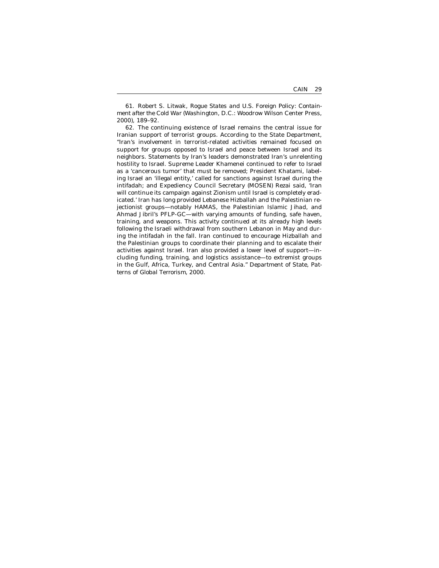61. Robert S. Litwak, *Rogue States and U.S. Foreign Policy: Containment after the Cold War* (Washington, D.C.: Woodrow Wilson Center Press, 2000), 189–92.

62. The continuing existence of Israel remains the central issue for Iranian support of terrorist groups. According to the State Department, "Iran's involvement in terrorist-related activities remained focused on support for groups opposed to Israel and peace between Israel and its neighbors. Statements by Iran's leaders demonstrated Iran's unrelenting hostility to Israel. Supreme Leader Khamenei continued to refer to Israel as a 'cancerous tumor' that must be removed; President Khatami, labeling Israel an 'illegal entity,' called for sanctions against Israel during the intifadah; and Expediency Council Secretary (MOSEN) Rezai said, 'Iran will continue its campaign against Zionism until Israel is completely eradicated.' Iran has long provided Lebanese Hizballah and the Palestinian rejectionist groups—notably HAMAS, the Palestinian Islamic *Jihad*, and Ahmad Jibril's PFLP-GC—with varying amounts of funding, safe haven, training, and weapons. This activity continued at its already high levels following the Israeli withdrawal from southern Lebanon in May and during the intifadah in the fall. Iran continued to encourage Hizballah and the Palestinian groups to coordinate their planning and to escalate their activities against Israel. Iran also provided a lower level of support—including funding, training, and logistics assistance—to extremist groups in the Gulf, Africa, Turkey, and Central Asia." Department of State, *Patterns of Global Terrorism, 2000.*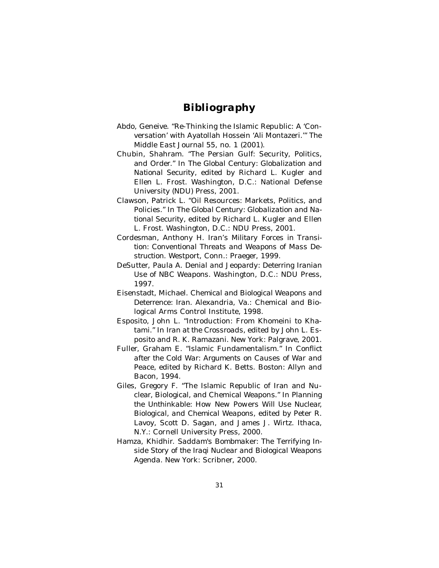## *Bibliography*

- Abdo, Geneive. "Re-Thinking the Islamic Republic: A 'Conversation' with Ayatollah Hossein 'Ali Montazeri.'" *The Middle East Journal* 55, no. 1 (2001).
- Chubin, Shahram. "The Persian Gulf: Security, Politics, and Order." In *The Global Century: Globalization and National Security,* edited by Richard L. Kugler and Ellen L. Frost. Washington, D.C.: National Defense University (NDU) Press, 2001.
- Clawson, Patrick L. "Oil Resources: Markets, Politics, and Policies." In *The Global Century: Globalization and National Security,* edited by Richard L. Kugler and Ellen L. Frost. Washington, D.C.: NDU Press, 2001.
- Cordesman, Anthony H. *Iran's Military Forces in Transition: Conventional Threats and Weapons of Mass Destruction.* Westport, Conn.: Praeger, 1999.
- DeSutter, Paula A. *Denial and Jeopardy: Deterring Iranian Use of NBC Weapons.* Washington, D.C.: NDU Press, 1997.
- Eisenstadt, Michael. *Chemical and Biological Weapons and Deterrence: Iran.* Alexandria, Va.: Chemical and Biological Arms Control Institute, 1998.
- Esposito, John L. "Introduction: From Khomeini to Khatami." In *Iran at the Crossroads,* edited by John L. Esposito and R. K. Ramazani. New York: Palgrave, 2001.
- Fuller, Graham E. "Islamic Fundamentalism." In *Conflict after the Cold War: Arguments on Causes of War and Peace,* edited by Richard K. Betts. Boston: Allyn and Bacon, 1994.
- Giles, Gregory F. "The Islamic Republic of Iran and Nuclear, Biological, and Chemical Weapons." In *Planning the Unthinkable: How New Powers Will Use Nuclear, Biological, and Chemical Weapons,* edited by Peter R. Lavoy, Scott D. Sagan, and James J. Wirtz. Ithaca, N.Y.: Cornell University Press, 2000.
- Hamza, Khidhir. *Saddam's Bombmaker: The Terrifying Inside Story of the Iraqi Nuclear and Biological Weapons Agenda.* New York: Scribner, 2000.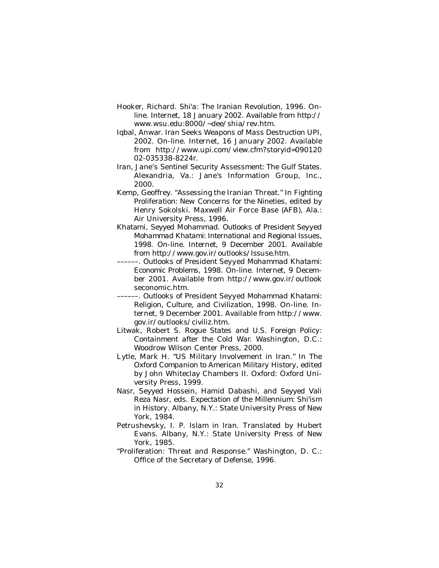- Hooker, Richard. *Shi'a: The Iranian Revolution,* 1996. Online. Internet, 18 January 2002. Available from http:// www.wsu.edu:8000/~dee/shia/rev.htm.
- Iqbal, Anwar. I*ran Seeks Weapons of Mass Destruction* UPI, 2002. On-line. Internet, 16 January 2002. Available from http://www.upi.com/view.cfm?storyid=090120 02-035338-8224r.
- *Iran, Jane's Sentinel Security Assessment: The Gulf States.*  Alexandria, Va.: Jane's Information Group, Inc., 2000.
- Kemp, Geoffrey. "Assessing the Iranian Threat." In *Fighting Proliferation: New Concerns for the Nineties,* edited by Henry Sokolski. Maxwell Air Force Base (AFB), Ala.: Air University Press, 1996.
- Khatami, Seyyed Mohammad. *Outlooks of President Seyyed Mohammad Khatami: International and Regional Issues,*  1998. On-line. Internet, 9 December 2001. Available from http://www.gov.ir/outlooks/Issuse.htm.
- ––––––. *Outlooks of President Seyyed Mohammad Khatami: Economic Problems,* 1998. On-line. Internet, 9 December 2001. Available from http://www.gov.ir/outlook seconomic.htm.
- ––––––. *Outlooks of President Seyyed Mohammad Khatami: Religion, Culture, and Civilization,* 1998. On-line. Internet, 9 December 2001. Available from http://www. gov.ir/outlooks/civiliz.htm.
- Litwak, Robert S. *Rogue States and U.S. Foreign Policy: Containment after the Cold War.* Washington, D.C.: Woodrow Wilson Center Press, 2000.
- Lytle, Mark H. "US Military Involvement in Iran." In *The Oxford Companion to American Military History,* edited by John Whiteclay Chambers II. Oxford: Oxford University Press, 1999.
- Nasr, Seyyed Hossein, Hamid Dabashi, and Seyyed Vali Reza Nasr, eds. *Expectation of the Millennium: Shi'ism in History.* Albany, N.Y.: State University Press of New York, 1984.
- Petrushevsky, I. P. *Islam in Iran.* Translated by Hubert Evans. Albany, N.Y.: State University Press of New York, 1985.
- "Proliferation: Threat and Response." Washington, D. C.: Office of the Secretary of Defense, 1996.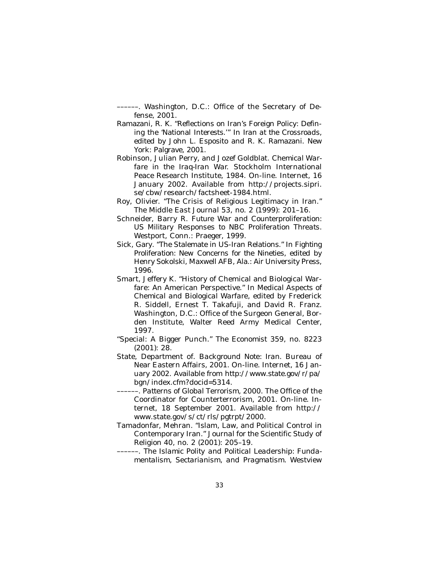––––––. Washington, D.C.: Office of the Secretary of Defense, 2001.

- Ramazani, R. K. "Reflections on Iran's Foreign Policy: Defining the 'National Interests.'" In *Iran at the Crossroads,*  edited by John L. Esposito and R. K. Ramazani. New York: Palgrave, 2001.
- Robinson, Julian Perry, and Jozef Goldblat. *Chemical Warfare in the Iraq-Iran War.* Stockholm International Peace Research Institute, 1984. On-line. Internet, 16 January 2002. Available from http://projects.sipri. se/cbw/research/factsheet-1984.html.
- Roy, Olivier. "The Crisis of Religious Legitimacy in Iran." *The Middle East Journal* 53, no. 2 (1999): 201–16.
- Schneider, Barry R. *Future War and Counterproliferation: US Military Responses to NBC Proliferation Threats.*  Westport, Conn.: Praeger, 1999.
- Sick, Gary. "The Stalemate in US-Iran Relations." In *Fighting Proliferation: New Concerns for the Nineties,* edited by Henry Sokolski, Maxwell AFB, Ala.: Air University Press, 1996.
- Smart, Jeffery K. "History of Chemical and Biological Warfare: An American Perspective." In *Medical Aspects of Chemical and Biological Warfare,* edited by Frederick R. Siddell, Ernest T. Takafuji, and David R. Franz. Washington, D.C.: Office of the Surgeon General, Borden Institute, Walter Reed Army Medical Center, 1997.
- "Special: A Bigger Punch." *The Economist* 359, no. 8223 (2001): 28.
- State, Department of. *Background Note: Iran.* Bureau of Near Eastern Affairs, 2001. On-line. Internet, 16 January 2002. Available from http://www.state.gov/r/pa/ bgn/index.cfm?docid=5314.
- ––––––. *Patterns of Global Terrorism, 2000.* The Office of the Coordinator for Counterterrorism, 2001. On-line. Internet, 18 September 2001. Available from http:// www.state.gov/s/ct/rls/pgtrpt/2000.
- Tamadonfar, Mehran. "Islam, Law, and Political Control in Contemporary Iran." *Journal for the Scientific Study of Religion* 40, no. 2 (2001): 205–19.
- ––––––. *The Islamic Polity and Political Leadership: Fundamentalism, Sectarianism, and Pragmatism.* Westview